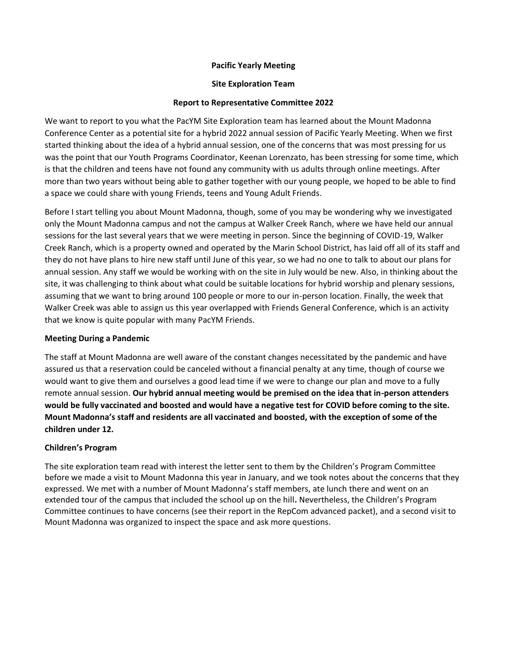# **Pacific Yearly Meeting**

# **Site Exploration Team**

# **Report to Representative Committee 2022**

We want to report to you what the PacYM Site Exploration team has learned about the Mount Madonna Conference Center as a potential site for a hybrid 2022 annual session of Pacific Yearly Meeting. When we first started thinking about the idea of a hybrid annual session, one of the concerns that was most pressing for us was the point that our Youth Programs Coordinator, Keenan Lorenzato, has been stressing for some time, which is that the children and teens have not found any community with us adults through online meetings. After more than two years without being able to gather together with our young people, we hoped to be able to find a space we could share with young Friends, teens and Young Adult Friends.

Before I start telling you about Mount Madonna, though, some of you may be wondering why we investigated only the Mount Madonna campus and not the campus at Walker Creek Ranch, where we have held our annual sessions for the last several years that we were meeting in person. Since the beginning of COVID-19, Walker Creek Ranch, which is a property owned and operated by the Marin School District, has laid off all of its staff and they do not have plans to hire new staff until June of this year, so we had no one to talk to about our plans for annual session. Any staff we would be working with on the site in July would be new. Also, in thinking about the site, it was challenging to think about what could be suitable locations for hybrid worship and plenary sessions, assuming that we want to bring around 100 people or more to our in-person location. Finally, the week that Walker Creek was able to assign us this year overlapped with Friends General Conference, which is an activity that we know is quite popular with many PacYM Friends.

# **Meeting During a Pandemic**

The staff at Mount Madonna are well aware of the constant changes necessitated by the pandemic and have assured us that a reservation could be canceled without a financial penalty at any time, though of course we would want to give them and ourselves a good lead time if we were to change our plan and move to a fully remote annual session. **Our hybrid annual meeting would be premised on the idea that in-person attenders would be fully vaccinated and boosted and would have a negative test for COVID before coming to the site. Mount Madonna's staff and residents are all vaccinated and boosted, with the exception of some of the children under 12.**

# **Children's Program**

The site exploration team read with interest the letter sent to them by the Children's Program Committee before we made a visit to Mount Madonna this year in January, and we took notes about the concerns that they expressed. We met with a number of Mount Madonna's staff members, ate lunch there and went on an extended tour of the campus that included the school up on the hill. Nevertheless, the Children's Program Committee continues to have concerns (see their report in the RepCom advanced packet), and a second visit to Mount Madonna was organized to inspect the space and ask more questions.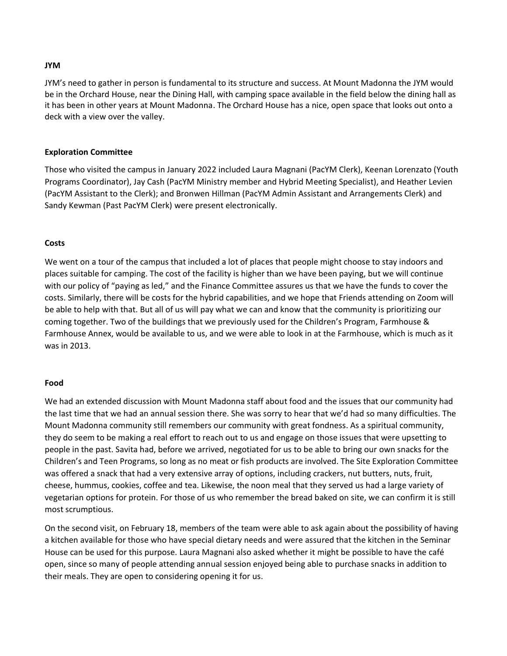#### **JYM**

JYM's need to gather in person is fundamental to its structure and success. At Mount Madonna the JYM would be in the Orchard House, near the Dining Hall, with camping space available in the field below the dining hall as it has been in other years at Mount Madonna. The Orchard House has a nice, open space that looks out onto a deck with a view over the valley.

### **Exploration Committee**

Those who visited the campus in January 2022 included Laura Magnani (PacYM Clerk), Keenan Lorenzato (Youth Programs Coordinator), Jay Cash (PacYM Ministry member and Hybrid Meeting Specialist), and Heather Levien (PacYM Assistant to the Clerk); and Bronwen Hillman (PacYM Admin Assistant and Arrangements Clerk) and Sandy Kewman (Past PacYM Clerk) were present electronically.

#### **Costs**

We went on a tour of the campus that included a lot of places that people might choose to stay indoors and places suitable for camping. The cost of the facility is higher than we have been paying, but we will continue with our policy of "paying as led," and the Finance Committee assures us that we have the funds to cover the costs. Similarly, there will be costs for the hybrid capabilities, and we hope that Friends attending on Zoom will be able to help with that. But all of us will pay what we can and know that the community is prioritizing our coming together. Two of the buildings that we previously used for the Children's Program, Farmhouse & Farmhouse Annex, would be available to us, and we were able to look in at the Farmhouse, which is much as it was in 2013.

#### **Food**

We had an extended discussion with Mount Madonna staff about food and the issues that our community had the last time that we had an annual session there. She was sorry to hear that we'd had so many difficulties. The Mount Madonna community still remembers our community with great fondness. As a spiritual community, they do seem to be making a real effort to reach out to us and engage on those issues that were upsetting to people in the past. Savita had, before we arrived, negotiated for us to be able to bring our own snacks for the Children's and Teen Programs, so long as no meat or fish products are involved. The Site Exploration Committee was offered a snack that had a very extensive array of options, including crackers, nut butters, nuts, fruit, cheese, hummus, cookies, coffee and tea. Likewise, the noon meal that they served us had a large variety of vegetarian options for protein. For those of us who remember the bread baked on site, we can confirm it is still most scrumptious.

On the second visit, on February 18, members of the team were able to ask again about the possibility of having a kitchen available for those who have special dietary needs and were assured that the kitchen in the Seminar House can be used for this purpose. Laura Magnani also asked whether it might be possible to have the café open, since so many of people attending annual session enjoyed being able to purchase snacks in addition to their meals. They are open to considering opening it for us.